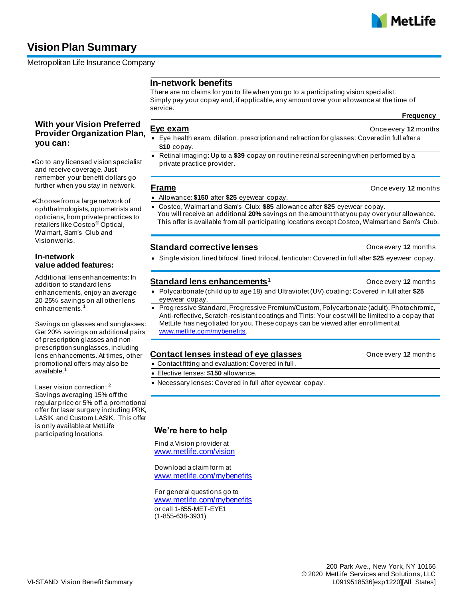# **Vision Plan Summary**

Metropolitan Life Insurance Company

## **In-network benefits**

There are no claims for you to file when you go to a participating vision specialist. Simply pay your copay and, if applicable, any amount over your allowance at the time of service.

**Frequency**

## **Eye exam CONCERN EVE EXAMPLE EXAMPLE EXAMPLE EXAMPLE EXAMPLE EXAMPLE EXAMPLE EXAMPLE EXAMPLE EXAMPLE EXAMPLE EXAMPLE EXAMPLE EXAMPLE EXAMPLE EXAMPLE EXAMPLE EXAMPLE EXAMPLE EXAMPLE EXAMPLE EXAMPLE EXAMPLE EXAMPLE EXAMPL**

- Eye health exam, dilation, prescription and refraction for glasses: Covered in full after a **\$10** copay.
- Retinal imaging: Up to a **\$39** copay on routine retinal screening when performed by a private practice provider.

### **Frame Concernsive Example 20 and 20 and 20 and 20 and 20 and 20 and 20 and 20 and 20 and 20 and 20 and 20 and 20 and 20 and 20 and 20 and 20 and 20 and 20 and 20 and 20 and 20 and 20 and 20 and 20 and 20 and 20 and 20 a**

## • Allowance: **\$150** after **\$25** eyewear copay.

- Costco, Walmart and Sam's Club: **\$85** allowance after **\$25** eyewear copay. You will receive an additional **20%** savings on the amount that you pay over your allowance.
- This offer is available from all participating locations except Costco, Walmart and Sam's Club.

## **Standard corrective lenses Concerned Allen Example 20 and Standard Property 12** months

• Single vision, lined bifocal, lined trifocal, lenticular: Covered in full after **\$25** eyewear copay.

## **Standard lens enhancements<sup>1</sup> Christian Christian Christian Christian Once every 12 months**

- Polycarbonate (child up to age 18) and Ultraviolet (UV) coating: Covered in full after **\$25** . eyewear copay.
- Progressive Standard, Progressive Premium/Custom, Polycarbonate (adult), Photochromic, Anti-reflective, Scratch-resistant coatings and Tints: Your cost will be limited to a copay that MetLife has negotiated for you. These copays can be viewed after enrollment at [www.metlife.com/mybenefits.](http://www.metlife.com/mybenefits)

## **Contact lenses instead of eye glasses Contact Increase instead of eye glasses Once every 12** months

- Contact fitting and evaluation: Covered in full.
- Elective lenses: **\$150** allowance.
- Necessary lenses: Covered in full after eyewear copay.

## **We're here to help**

Find a Vision provider at [www.metlife.com/vision](http://www.metlife.com/vision)

[www.metlife.com/mybenefits](http://www.metlife.com/mybenefits)

For general questions go to www.metlife.com/mybenefits or call 1-855-MET-EYE1 (1-855-638-3931)

# **With your Vision Preferred Provider Organization Plan, you can:**

- •Go to any licensed vision specialist and receive coverage. Just remember your benefit dollars go further when you stay in network.
- •Choose from a large network of ophthalmologists, optometrists and opticians, from private practices to retailers like Costco ® Optical, Walmart, Sam's Club and Visionworks.

## **In-network value added features:**

Additional lens enhancements: In addition to standard lens enhancements, enjoy an average 20-25% savings on all other lens enhancements.

Savings on glasses and sunglasses: Get 20% savings on additional pairs of prescription glasses and nonprescription sunglasses, including lens enhancements. At times, other promotional offers may also be available.<sup>1</sup>

Laser vision correction: <sup>2</sup> Savings averaging 15% off the regular price or 5% off a promotional offer for laser surgery including PRK, LASIK and Custom LASIK. This offer is only available at MetLife participating locations.

Download a claim form at

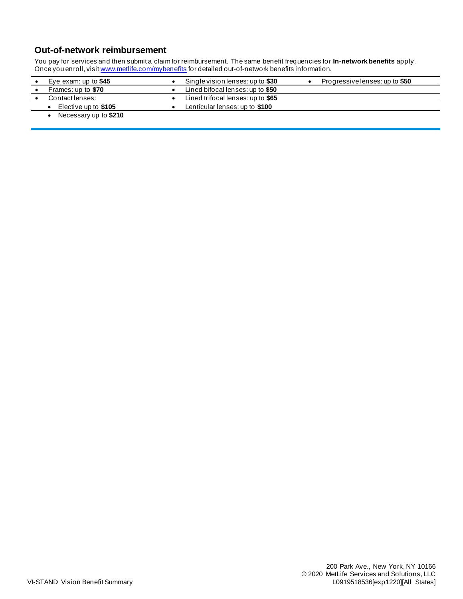## **Out-of-network reimbursement**

You pay for services and then submit a claim for reimbursement. The same benefit frequencies for **In-network benefits** apply. Once you enroll, visi[t www.metlife.com/mybenefits](http://www.metlife.com/mybenefits) for detailed out-of-network benefits information.

| Eye exam: up to $$45$ | Single vision lenses: up to \$30  | Progressive lenses: up to \$50 |
|-----------------------|-----------------------------------|--------------------------------|
| Frames: up to \$70    | Lined bifocal lenses: up to \$50  |                                |
| Contact lenses:       | Lined trifocal lenses: up to \$65 |                                |
| Elective up to \$105  | Lenticular lenses: up to \$100    |                                |
| Necessary up to \$210 |                                   |                                |